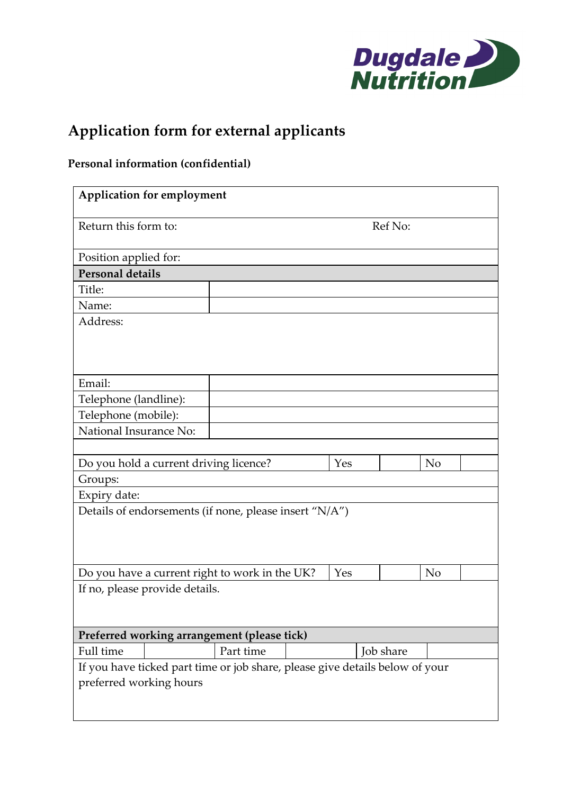

# **Application form for external applicants**

## **Personal information (confidential)**

| <b>Application for employment</b>                                                                       |           |           |                |  |  |
|---------------------------------------------------------------------------------------------------------|-----------|-----------|----------------|--|--|
| Return this form to:                                                                                    |           | Ref No:   |                |  |  |
| Position applied for:                                                                                   |           |           |                |  |  |
| <b>Personal details</b>                                                                                 |           |           |                |  |  |
| Title:                                                                                                  |           |           |                |  |  |
| Name:                                                                                                   |           |           |                |  |  |
| Address:                                                                                                |           |           |                |  |  |
| Email:                                                                                                  |           |           |                |  |  |
| Telephone (landline):                                                                                   |           |           |                |  |  |
| Telephone (mobile):                                                                                     |           |           |                |  |  |
| National Insurance No:                                                                                  |           |           |                |  |  |
|                                                                                                         |           |           |                |  |  |
| Do you hold a current driving licence?                                                                  |           | Yes       | N <sub>o</sub> |  |  |
| Groups:                                                                                                 |           |           |                |  |  |
| Expiry date:                                                                                            |           |           |                |  |  |
| Details of endorsements (if none, please insert "N/A")                                                  |           |           |                |  |  |
| Do you have a current right to work in the UK?                                                          | Yes       | No        |                |  |  |
| If no, please provide details.                                                                          |           |           |                |  |  |
| Preferred working arrangement (please tick)                                                             |           |           |                |  |  |
| Full time                                                                                               | Part time | Job share |                |  |  |
| If you have ticked part time or job share, please give details below of your<br>preferred working hours |           |           |                |  |  |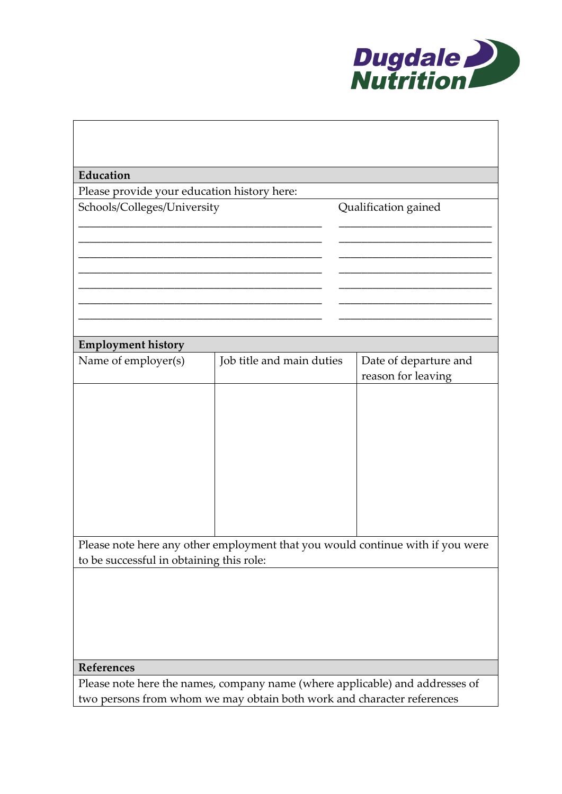

| Education                                                                      |                           |                       |  |  |  |
|--------------------------------------------------------------------------------|---------------------------|-----------------------|--|--|--|
| Please provide your education history here:                                    |                           |                       |  |  |  |
| Schools/Colleges/University                                                    |                           | Qualification gained  |  |  |  |
|                                                                                |                           |                       |  |  |  |
|                                                                                |                           |                       |  |  |  |
|                                                                                |                           |                       |  |  |  |
|                                                                                |                           |                       |  |  |  |
|                                                                                |                           |                       |  |  |  |
|                                                                                |                           |                       |  |  |  |
|                                                                                |                           |                       |  |  |  |
|                                                                                |                           |                       |  |  |  |
| <b>Employment history</b>                                                      |                           |                       |  |  |  |
| Name of employer(s)                                                            | Job title and main duties | Date of departure and |  |  |  |
|                                                                                |                           | reason for leaving    |  |  |  |
|                                                                                |                           |                       |  |  |  |
|                                                                                |                           |                       |  |  |  |
|                                                                                |                           |                       |  |  |  |
|                                                                                |                           |                       |  |  |  |
|                                                                                |                           |                       |  |  |  |
|                                                                                |                           |                       |  |  |  |
|                                                                                |                           |                       |  |  |  |
|                                                                                |                           |                       |  |  |  |
|                                                                                |                           |                       |  |  |  |
|                                                                                |                           |                       |  |  |  |
| Please note here any other employment that you would continue with if you were |                           |                       |  |  |  |
| to be successful in obtaining this role:                                       |                           |                       |  |  |  |
|                                                                                |                           |                       |  |  |  |
|                                                                                |                           |                       |  |  |  |
|                                                                                |                           |                       |  |  |  |
|                                                                                |                           |                       |  |  |  |
|                                                                                |                           |                       |  |  |  |
| References                                                                     |                           |                       |  |  |  |
| Please note here the names, company name (where applicable) and addresses of   |                           |                       |  |  |  |
| two persons from whom we may obtain both work and character references         |                           |                       |  |  |  |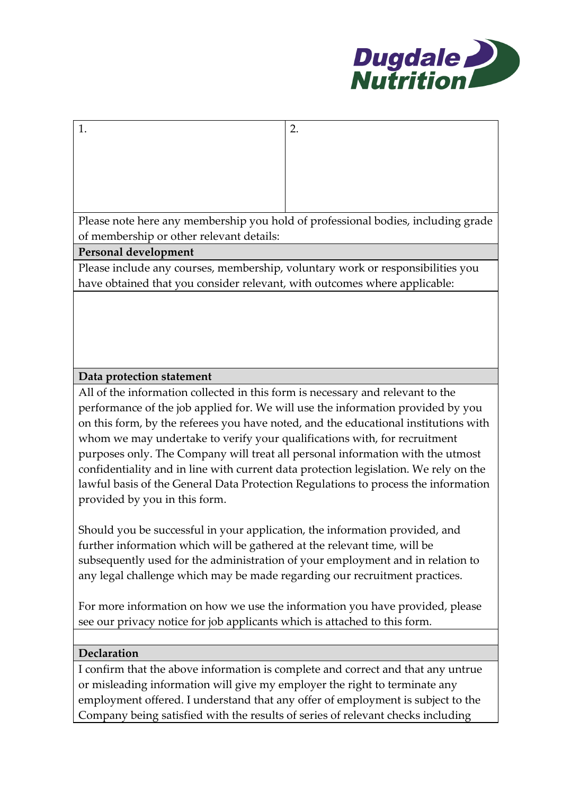

Please note here any membership you hold of professional bodies, including grade of membership or other relevant details:

#### **Personal development**

1.  $\vert$  2.

Please include any courses, membership, voluntary work or responsibilities you have obtained that you consider relevant, with outcomes where applicable:

#### **Data protection statement**

All of the information collected in this form is necessary and relevant to the performance of the job applied for. We will use the information provided by you on this form, by the referees you have noted, and the educational institutions with whom we may undertake to verify your qualifications with, for recruitment purposes only. The Company will treat all personal information with the utmost confidentiality and in line with current data protection legislation. We rely on the lawful basis of the General Data Protection Regulations to process the information provided by you in this form.

Should you be successful in your application, the information provided, and further information which will be gathered at the relevant time, will be subsequently used for the administration of your employment and in relation to any legal challenge which may be made regarding our recruitment practices.

For more information on how we use the information you have provided, please see our privacy notice for job applicants which is attached to this form*.*

#### **Declaration**

I confirm that the above information is complete and correct and that any untrue or misleading information will give my employer the right to terminate any employment offered. I understand that any offer of employment is subject to the Company being satisfied with the results of series of relevant checks including